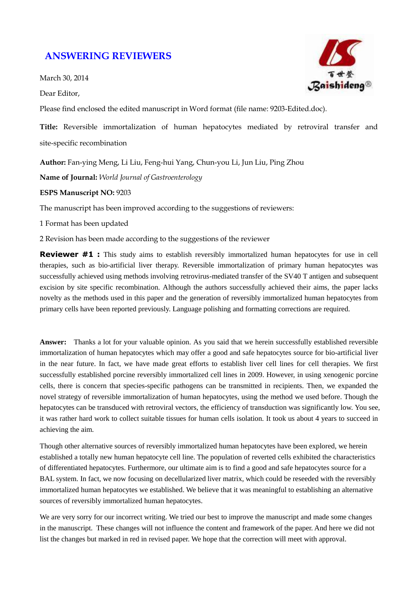## **ANSWERING REVIEWERS**

March 30, 2014

Dear Editor,



Please find enclosed the edited manuscript in Word format (file name: 9203-Edited.doc).

**Title:** [Reversible immortalization of human hepatocytes mediated by retroviral transfer and](http://www.wjgnet.com/esps/ManuscriptDetail.aspx?id=LRw2a5tMRHJ6ivEqYqLt2A%3d%3d)  [site-specific recombination](http://www.wjgnet.com/esps/ManuscriptDetail.aspx?id=LRw2a5tMRHJ6ivEqYqLt2A%3d%3d)

**Author:** Fan-ying Meng, Li Liu, Feng-hui Yang, Chun-you Li, Jun Liu, Ping Zhou

**Name of Journal:** *World Journal of Gastroenterology*

## **ESPS Manuscript NO:** 9203

The manuscript has been improved according to the suggestions of reviewers:

1 Format has been updated

2 Revision has been made according to the suggestions of the reviewer

**Reviewer #1 :** This study aims to establish reversibly immortalized human hepatocytes for use in cell therapies, such as bio-artificial liver therapy. Reversible immortalization of primary human hepatocytes was successfully achieved using methods involving retrovirus-mediated transfer of the SV40 T antigen and subsequent excision by site specific recombination. Although the authors successfully achieved their aims, the paper lacks novelty as the methods used in this paper and the generation of reversibly immortalized human hepatocytes from primary cells have been reported previously. Language polishing and formatting corrections are required.

**Answer:** Thanks a lot for your valuable opinion. As you said that we herein successfully established reversible immortalization of human hepatocytes which may offer a good and safe hepatocytes source for bio-artificial liver in the near future. In fact, we have made great efforts to establish liver cell lines for cell therapies. We first successfully established porcine reversibly immortalized cell lines in 2009. However, in using xenogenic porcine cells, there is concern that species-specific pathogens can be transmitted in recipients. Then, we expanded the novel strategy of reversible immortalization of human hepatocytes, using the method we used before. Though the hepatocytes can be transduced with retroviral vectors, the efficiency of transduction was significantly low. You see, it was rather hard work to collect suitable tissues for human cells isolation. It took us about 4 years to succeed in achieving the aim.

Though other alternative sources of reversibly immortalized human hepatocytes have been explored, we herein established a totally new human hepatocyte cell line. The population of reverted cells exhibited the characteristics of differentiated hepatocytes. Furthermore, our ultimate aim is to find a good and safe hepatocytes source for a BAL system. In fact, we now focusing on decellularized liver matrix, which could be reseeded with the reversibly immortalized human hepatocytes we established. We believe that it was meaningful to establishing an alternative sources of reversibly immortalized human hepatocytes.

We are very sorry for our incorrect writing. We tried our best to improve the manuscript and made some changes in the manuscript. These changes will not influence the content and framework of the paper. And here we did not list the changes but marked in red in revised paper. We hope that the correction will meet with approval.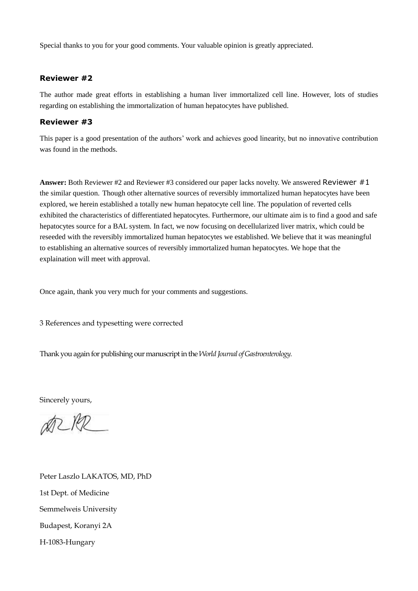Special thanks to you for your good comments. Your valuable opinion is greatly appreciated.

## **Reviewer #2**

The author made great efforts in establishing a human liver immortalized cell line. However, lots of studies regarding on establishing the immortalization of human hepatocytes have published.

## **Reviewer #3**

This paper is a good presentation of the authors' work and achieves good linearity, but no innovative contribution was found in the methods.

**Answer:** Both Reviewer #2 and Reviewer #3 considered our paper lacks novelty. We answered Reviewer #1 the similar question. Though other alternative sources of reversibly immortalized human hepatocytes have been explored, we herein established a totally new human hepatocyte cell line. The population of reverted cells exhibited the characteristics of differentiated hepatocytes. Furthermore, our ultimate aim is to find a good and safe hepatocytes source for a BAL system. In fact, we now focusing on decellularized liver matrix, which could be reseeded with the reversibly immortalized human hepatocytes we established. We believe that it was meaningful to establishing an alternative sources of reversibly immortalized human hepatocytes. We hope that the explaination will meet with approval.

Once again, thank you very much for your comments and suggestions.

3 References and typesetting were corrected

Thank you again for publishing our manuscript in the *World Journal of Gastroenterology.*

Sincerely yours,

DRIPL

Peter Laszlo LAKATOS, MD, PhD 1st Dept. of Medicine Semmelweis University Budapest, Koranyi 2A H-1083-Hungary